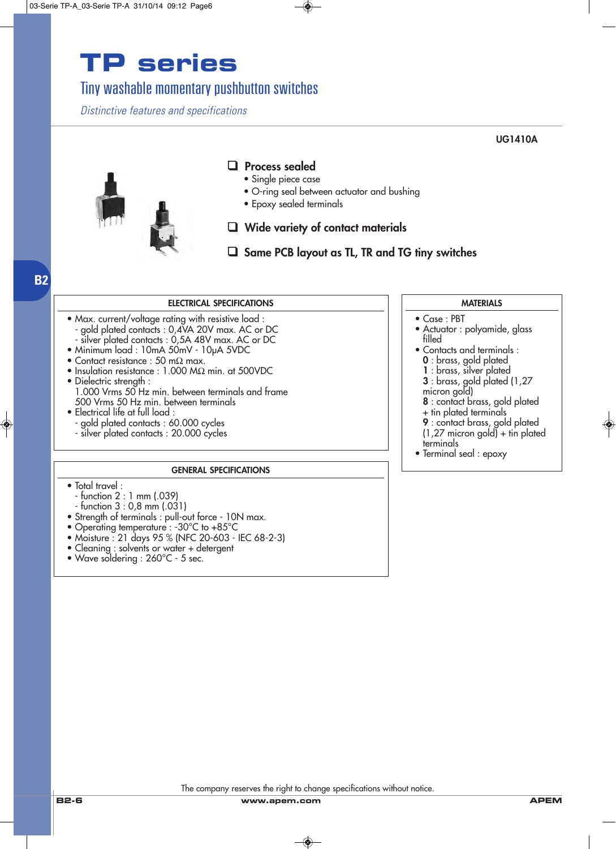### Tiny washable momentary pushbutton switches

*Distinctive features and specifications*

**UG1410A**



### ❑ **Process sealed**

- Single piece case
- O-ring seal between actuator and bushing
- Epoxy sealed terminals

#### ❑ **Wide variety of contact materials**

### ❑ **Same PCB layout as TL, TR and TG tiny switches**

#### **ELECTRICAL SPECIFICATIONS**

• Max. current/voltage rating with resistive load : - gold plated contacts : 0,4VA 20V max. AC or DC - silver plated contacts : 0,5A 48V max. AC or DC

- Minimum load : 10mA 50mV 10µA 5VDC
- Contact resistance : 50 mΩ max.
- Insulation resistance : 1.000 MΩ min. at 500VDC
- Dielectric strength : 1.000 Vrms 50 Hz min. between terminals and frame 500 Vrms 50 Hz min. between terminals
- Electrical life at full load : - gold plated contacts : 60.000 cycles - silver plated contacts : 20.000 cycles

#### **GENERAL SPECIFICATIONS**

• Total travel :

**B2**

- function 2 : 1 mm (.039)
- function 3 : 0,8 mm (.031)
- Strength of terminals : pull-out force 10N max.
- Operating temperature : -30°C to +85°C
- Moisture : 21 days 95 % (NFC 20-603 IEC 68-2-3)
- Cleaning : solvents or water + detergent
- Wave soldering : 260°C 5 sec.

#### **MATERIALS**

- Case : PBT
- Actuator : polyamide, glass filled
- Contacts and terminals :
	- **0** : brass, gold plated
	- **1** : brass, silver plated
	- **3** : brass, gold plated (1,27
	- micron gold)
	- **8** : contact brass, gold plated
	- + tin plated terminals
- **9** : contact brass, gold plated (1,27 micron gold) + tin plated
- terminals
- Terminal seal : epoxy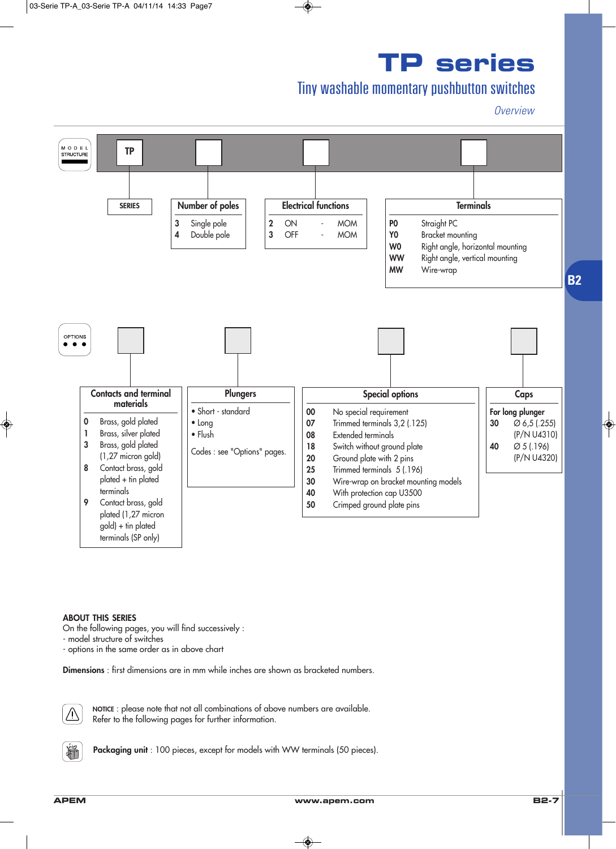## Tiny washable momentary pushbutton switches

*Overview*



#### **ABOUT THIS SERIES**

On the following pages, you will find successively :

- model structure of switches

- options in the same order as in above chart

**Dimensions** : first dimensions are in mm while inches are shown as bracketed numbers.



**NOTICE** : please note that not all combinations of above numbers are available. Refer to the following pages for further information.



Packaging unit : 100 pieces, except for models with WW terminals (50 pieces).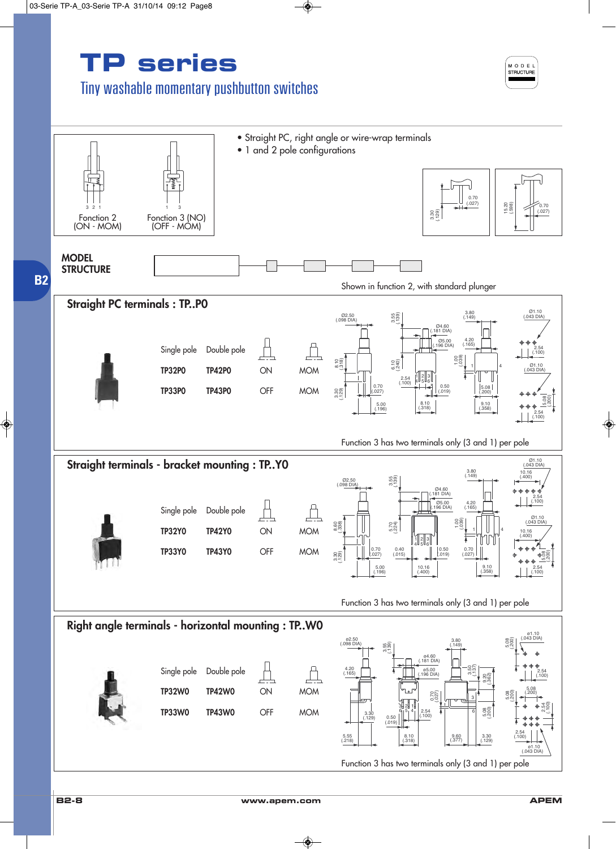## Tiny washable momentary pushbutton switches



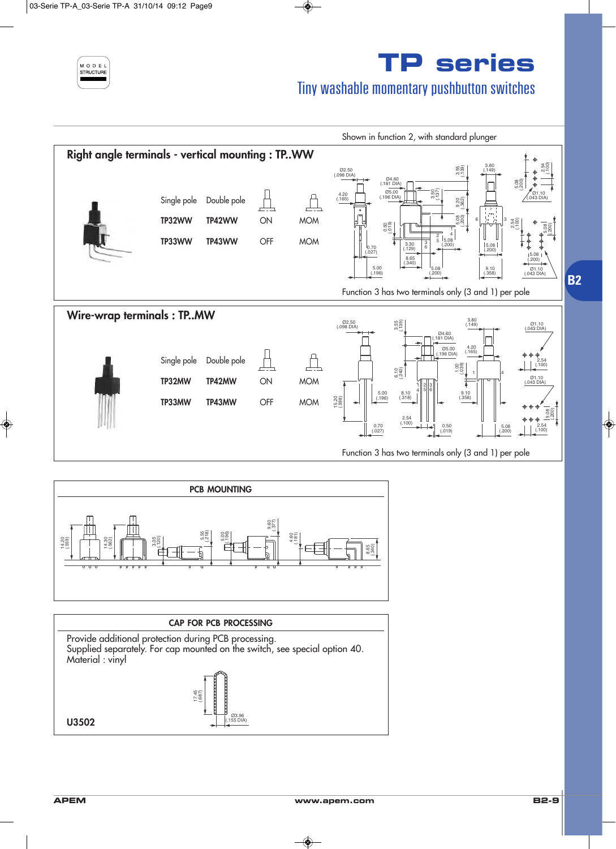

## Tiny washable momentary pushbutton switches



![](_page_3_Figure_4.jpeg)

![](_page_3_Figure_5.jpeg)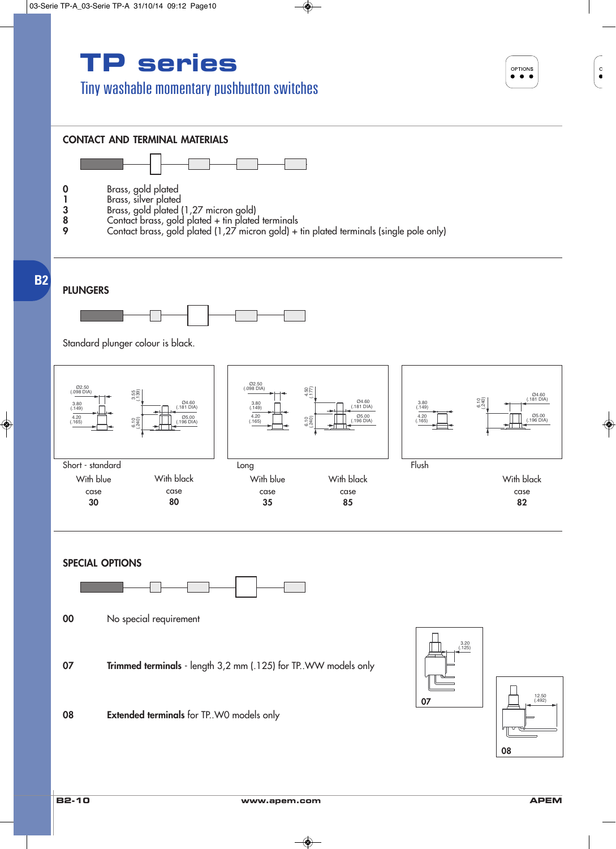### Tiny washable momentary pushbutton switches

OPTIONS  $\bullet\bullet\bullet$ 

![](_page_4_Figure_3.jpeg)

(.492) 12.50

**82**

(.181 DIA) Ø4.60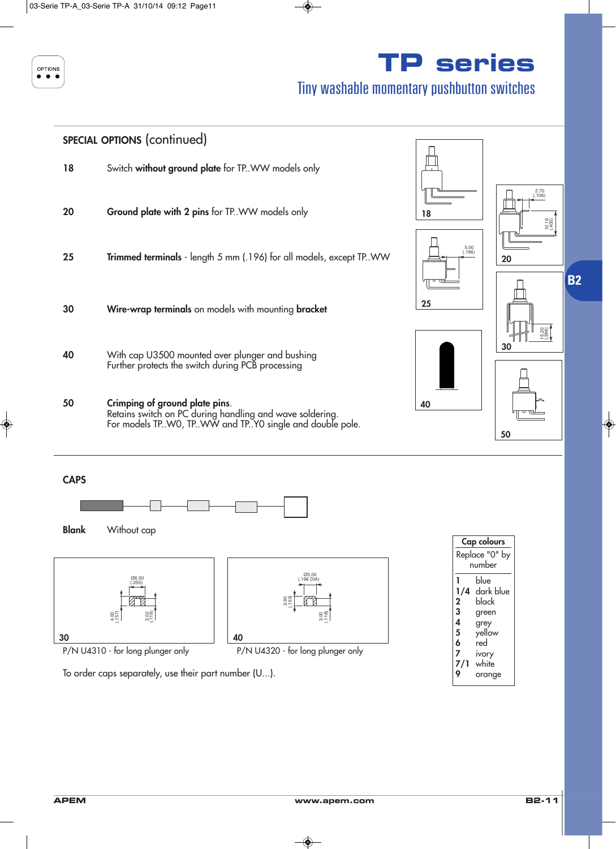![](_page_5_Figure_0.jpeg)

## Tiny washable momentary pushbutton switches

![](_page_5_Figure_3.jpeg)

**B2**